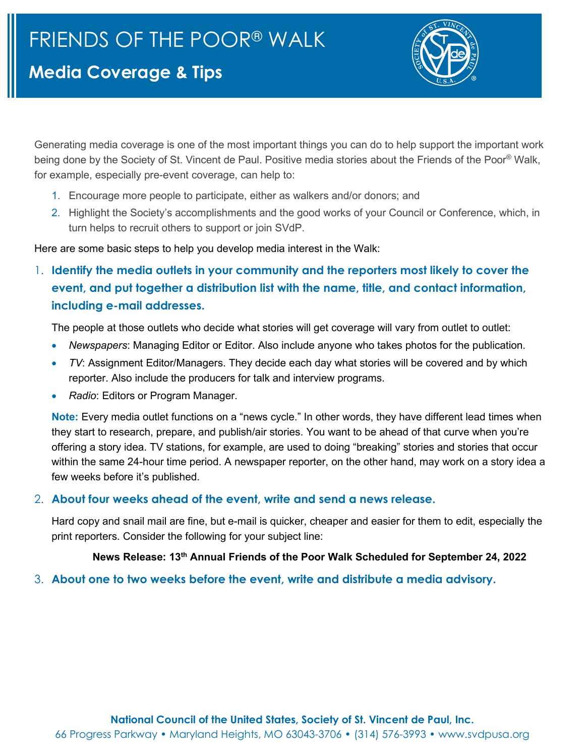# **Media Coverage & Tips**



Generating media coverage is one of the most important things you can do to help support the important work being done by the Society of St. Vincent de Paul. Positive media stories about the Friends of the Poor® Walk, for example, especially pre-event coverage, can help to:

- 1. Encourage more people to participate, either as walkers and/or donors; and
- 2. Highlight the Society's accomplishments and the good works of your Council or Conference, which, in turn helps to recruit others to support or join SVdP.

Here are some basic steps to help you develop media interest in the Walk:

1. **Identify the media outlets in your community and the reporters most likely to cover the event, and put together a distribution list with the name, title, and contact information, including e-mail addresses.** 

The people at those outlets who decide what stories will get coverage will vary from outlet to outlet:

- *Newspapers*: Managing Editor or Editor. Also include anyone who takes photos for the publication.
- *TV*: Assignment Editor/Managers. They decide each day what stories will be covered and by which reporter. Also include the producers for talk and interview programs.
- *Radio*: Editors or Program Manager.

**Note:** Every media outlet functions on a "news cycle." In other words, they have different lead times when they start to research, prepare, and publish/air stories. You want to be ahead of that curve when you're offering a story idea. TV stations, for example, are used to doing "breaking" stories and stories that occur within the same 24-hour time period. A newspaper reporter, on the other hand, may work on a story idea a few weeks before it's published.

### 2. **About four weeks ahead of the event, write and send a news release.**

Hard copy and snail mail are fine, but e-mail is quicker, cheaper and easier for them to edit, especially the print reporters. Consider the following for your subject line:

## **News Release: 13th Annual Friends of the Poor Walk Scheduled for September 24, 2022**

### 3. **About one to two weeks before the event, write and distribute a media advisory.**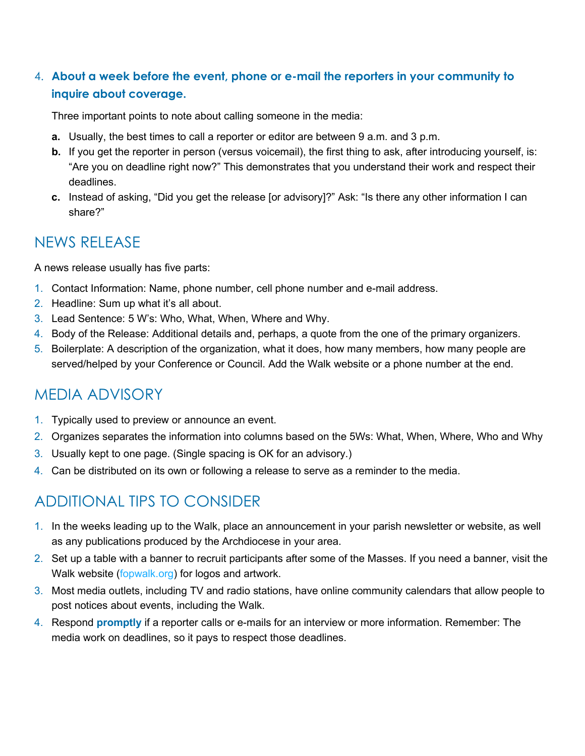## 4. **About a week before the event, phone or e-mail the reporters in your community to inquire about coverage.**

Three important points to note about calling someone in the media:

- **a.** Usually, the best times to call a reporter or editor are between 9 a.m. and 3 p.m.
- **b.** If you get the reporter in person (versus voicemail), the first thing to ask, after introducing yourself, is: "Are you on deadline right now?" This demonstrates that you understand their work and respect their deadlines.
- **c.** Instead of asking, "Did you get the release [or advisory]?" Ask: "Is there any other information I can share?"

## NEWS RELEASE

A news release usually has five parts:

- 1. Contact Information: Name, phone number, cell phone number and e-mail address.
- 2. Headline: Sum up what it's all about.
- 3. Lead Sentence: 5 W's: Who, What, When, Where and Why.
- 4. Body of the Release: Additional details and, perhaps, a quote from the one of the primary organizers.
- 5. Boilerplate: A description of the organization, what it does, how many members, how many people are served/helped by your Conference or Council. Add the Walk website or a phone number at the end.

## MEDIA ADVISORY

- 1. Typically used to preview or announce an event.
- 2. Organizes separates the information into columns based on the 5Ws: What, When, Where, Who and Why
- 3. Usually kept to one page. (Single spacing is OK for an advisory.)
- 4. Can be distributed on its own or following a release to serve as a reminder to the media.

# ADDITIONAL TIPS TO CONSIDER

- 1. In the weeks leading up to the Walk, place an announcement in your parish newsletter or website, as well as any publications produced by the Archdiocese in your area.
- 2. Set up a table with a banner to recruit participants after some of the Masses. If you need a banner, visit the Walk website (fopwalk.org) for logos and artwork.
- 3. Most media outlets, including TV and radio stations, have online community calendars that allow people to post notices about events, including the Walk.
- 4. Respond **promptly** if a reporter calls or e-mails for an interview or more information. Remember: The media work on deadlines, so it pays to respect those deadlines.